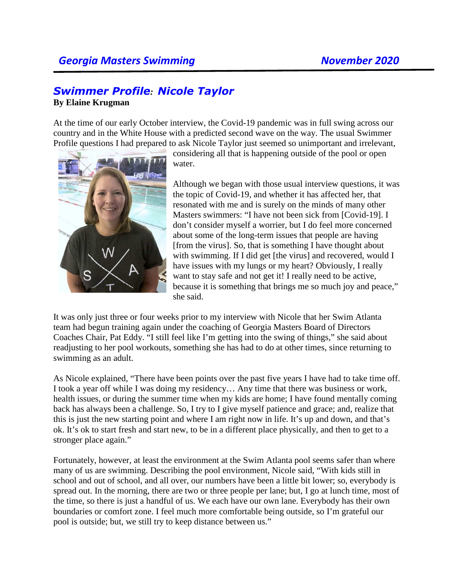## *Swimmer Profile:**Nicole Taylor*

## **By Elaine Krugman**

At the time of our early October interview, the Covid-19 pandemic was in full swing across our country and in the White House with a predicted second wave on the way. The usual Swimmer Profile questions I had prepared to ask Nicole Taylor just seemed so unimportant and irrelevant,



considering all that is happening outside of the pool or open water.

Although we began with those usual interview questions, it was the topic of Covid-19, and whether it has affected her, that resonated with me and is surely on the minds of many other Masters swimmers: "I have not been sick from [Covid-19]. I don't consider myself a worrier, but I do feel more concerned about some of the long-term issues that people are having [from the virus]. So, that is something I have thought about with swimming. If I did get [the virus] and recovered, would I have issues with my lungs or my heart? Obviously, I really want to stay safe and not get it! I really need to be active, because it is something that brings me so much joy and peace," she said.

It was only just three or four weeks prior to my interview with Nicole that her Swim Atlanta team had begun training again under the coaching of Georgia Masters Board of Directors Coaches Chair, Pat Eddy. "I still feel like I'm getting into the swing of things," she said about readjusting to her pool workouts, something she has had to do at other times, since returning to swimming as an adult.

As Nicole explained, "There have been points over the past five years I have had to take time off. I took a year off while I was doing my residency… Any time that there was business or work, health issues, or during the summer time when my kids are home; I have found mentally coming back has always been a challenge. So, I try to I give myself patience and grace; and, realize that this is just the new starting point and where I am right now in life. It's up and down, and that's ok. It's ok to start fresh and start new, to be in a different place physically, and then to get to a stronger place again."

Fortunately, however, at least the environment at the Swim Atlanta pool seems safer than where many of us are swimming. Describing the pool environment, Nicole said, "With kids still in school and out of school, and all over, our numbers have been a little bit lower; so, everybody is spread out. In the morning, there are two or three people per lane; but, I go at lunch time, most of the time, so there is just a handful of us. We each have our own lane. Everybody has their own boundaries or comfort zone. I feel much more comfortable being outside, so I'm grateful our pool is outside; but, we still try to keep distance between us."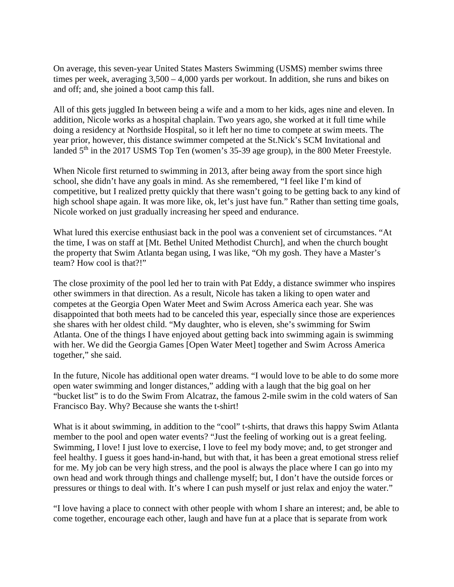On average, this seven-year United States Masters Swimming (USMS) member swims three times per week, averaging 3,500 – 4,000 yards per workout. In addition, she runs and bikes on and off; and, she joined a boot camp this fall.

All of this gets juggled In between being a wife and a mom to her kids, ages nine and eleven. In addition, Nicole works as a hospital chaplain. Two years ago, she worked at it full time while doing a residency at Northside Hospital, so it left her no time to compete at swim meets. The year prior, however, this distance swimmer competed at the St.Nick's SCM Invitational and landed 5<sup>th</sup> in the 2017 USMS Top Ten (women's 35-39 age group), in the 800 Meter Freestyle.

When Nicole first returned to swimming in 2013, after being away from the sport since high school, she didn't have any goals in mind. As she remembered, "I feel like I'm kind of competitive, but I realized pretty quickly that there wasn't going to be getting back to any kind of high school shape again. It was more like, ok, let's just have fun." Rather than setting time goals, Nicole worked on just gradually increasing her speed and endurance.

What lured this exercise enthusiast back in the pool was a convenient set of circumstances. "At the time, I was on staff at [Mt. Bethel United Methodist Church], and when the church bought the property that Swim Atlanta began using, I was like, "Oh my gosh. They have a Master's team? How cool is that?!"

The close proximity of the pool led her to train with Pat Eddy, a distance swimmer who inspires other swimmers in that direction. As a result, Nicole has taken a liking to open water and competes at the Georgia Open Water Meet and Swim Across America each year. She was disappointed that both meets had to be canceled this year, especially since those are experiences she shares with her oldest child. "My daughter, who is eleven, she's swimming for Swim Atlanta. One of the things I have enjoyed about getting back into swimming again is swimming with her. We did the Georgia Games [Open Water Meet] together and Swim Across America together," she said.

In the future, Nicole has additional open water dreams. "I would love to be able to do some more open water swimming and longer distances," adding with a laugh that the big goal on her "bucket list" is to do the Swim From Alcatraz, the famous 2-mile swim in the cold waters of San Francisco Bay. Why? Because she wants the t-shirt!

What is it about swimming, in addition to the "cool" t-shirts, that draws this happy Swim Atlanta member to the pool and open water events? "Just the feeling of working out is a great feeling. Swimming, I love! I just love to exercise, I love to feel my body move; and, to get stronger and feel healthy. I guess it goes hand-in-hand, but with that, it has been a great emotional stress relief for me. My job can be very high stress, and the pool is always the place where I can go into my own head and work through things and challenge myself; but, I don't have the outside forces or pressures or things to deal with. It's where I can push myself or just relax and enjoy the water."

"I love having a place to connect with other people with whom I share an interest; and, be able to come together, encourage each other, laugh and have fun at a place that is separate from work